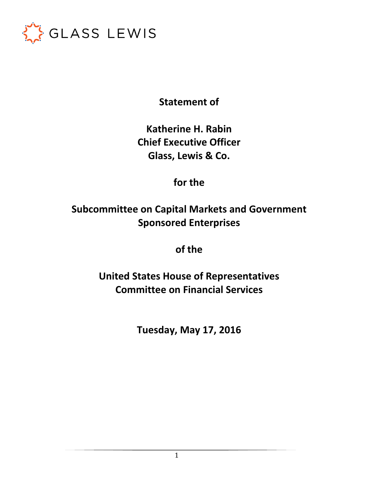

**Statement of** 

**Katherine H. Rabin Chief Executive Officer Glass, Lewis & Co.** 

**for the** 

**Subcommittee on Capital Markets and Government Sponsored Enterprises** 

**of the** 

**United States House of Representatives Committee on Financial Services** 

**Tuesday, May 17, 2016**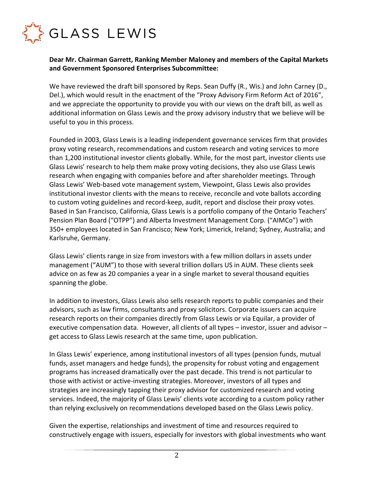

## **Dear Mr. Chairman Garrett, Ranking Member Maloney and members of the Capital Markets and Government Sponsored Enterprises Subcommittee:**

We have reviewed the draft bill sponsored by Reps. Sean Duffy (R., Wis.) and John Carney (D., Del.), which would result in the enactment of the "Proxy Advisory Firm Reform Act of 2016", and we appreciate the opportunity to provide you with our views on the draft bill, as well as additional information on Glass Lewis and the proxy advisory industry that we believe will be useful to you in this process.

Founded in 2003, Glass Lewis is a leading independent governance services firm that provides proxy voting research, recommendations and custom research and voting services to more than 1,200 institutional investor clients globally. While, for the most part, investor clients use Glass Lewis' research to help them make proxy voting decisions, they also use Glass Lewis research when engaging with companies before and after shareholder meetings. Through Glass Lewis' Web-based vote management system, Viewpoint, Glass Lewis also provides institutional investor clients with the means to receive, reconcile and vote ballots according to custom voting guidelines and record-keep, audit, report and disclose their proxy votes. Based in San Francisco, California, Glass Lewis is a portfolio company of the Ontario Teachers' Pension Plan Board ("OTPP") and Alberta Investment Management Corp. ("AIMCo") with 350+ employees located in San Francisco; New York; Limerick, Ireland; Sydney, Australia; and Karlsruhe, Germany.

Glass Lewis' clients range in size from investors with a few million dollars in assets under management ("AUM") to those with several trillion dollars US in AUM. These clients seek advice on as few as 20 companies a year in a single market to several thousand equities spanning the globe.

In addition to investors, Glass Lewis also sells research reports to public companies and their advisors, such as law firms, consultants and proxy solicitors. Corporate issuers can acquire research reports on their companies directly from Glass Lewis or via Equilar, a provider of executive compensation data. However, all clients of all types – investor, issuer and advisor – get access to Glass Lewis research at the same time, upon publication.

In Glass Lewis' experience, among institutional investors of all types (pension funds, mutual funds, asset managers and hedge funds), the propensity for robust voting and engagement programs has increased dramatically over the past decade. This trend is not particular to those with activist or active-investing strategies. Moreover, investors of all types and strategies are increasingly tapping their proxy advisor for customized research and voting services. Indeed, the majority of Glass Lewis' clients vote according to a custom policy rather than relying exclusively on recommendations developed based on the Glass Lewis policy.

Given the expertise, relationships and investment of time and resources required to constructively engage with issuers, especially for investors with global investments who want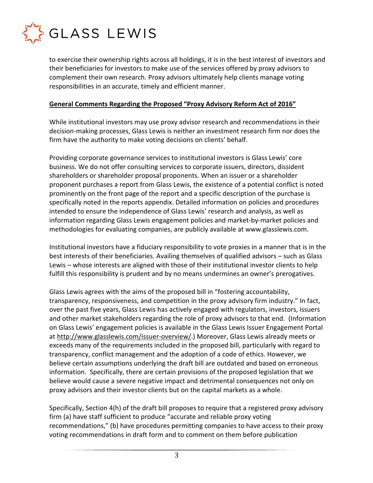

to exercise their ownership rights across all holdings, it is in the best interest of investors and their beneficiaries for investors to make use of the services offered by proxy advisors to complement their own research. Proxy advisors ultimately help clients manage voting responsibilities in an accurate, timely and efficient manner.

#### **General Comments Regarding the Proposed "Proxy Advisory Reform Act of 2016"**

While institutional investors may use proxy advisor research and recommendations in their decision-making processes, Glass Lewis is neither an investment research firm nor does the firm have the authority to make voting decisions on clients' behalf.

Providing corporate governance services to institutional investors is Glass Lewis' core business. We do not offer consulting services to corporate issuers, directors, dissident shareholders or shareholder proposal proponents. When an issuer or a shareholder proponent purchases a report from Glass Lewis, the existence of a potential conflict is noted prominently on the front page of the report and a specific description of the purchase is specifically noted in the reports appendix. Detailed information on policies and procedures intended to ensure the independence of Glass Lewis' research and analysis, as well as information regarding Glass Lewis engagement policies and market-by-market policies and methodologies for evaluating companies, are publicly available at www.glasslewis.com.

Institutional investors have a fiduciary responsibility to vote proxies in a manner that is in the best interests of their beneficiaries. Availing themselves of qualified advisors – such as Glass Lewis – whose interests are aligned with those of their institutional investor clients to help fulfill this responsibility is prudent and by no means undermines an owner's prerogatives.

Glass Lewis agrees with the aims of the proposed bill in "fostering accountability, transparency, responsiveness, and competition in the proxy advisory firm industry." In fact, over the past five years, Glass Lewis has actively engaged with regulators, investors, issuers and other market stakeholders regarding the role of proxy advisors to that end. (Information on Glass Lewis' engagement policies is available in the Glass Lewis Issuer Engagement Portal at http://www.glasslewis.com/issuer-overview/.) Moreover, Glass Lewis already meets or exceeds many of the requirements included in the proposed bill, particularly with regard to transparency, conflict management and the adoption of a code of ethics. However, we believe certain assumptions underlying the draft bill are outdated and based on erroneous information. Specifically, there are certain provisions of the proposed legislation that we believe would cause a severe negative impact and detrimental consequences not only on proxy advisors and their investor clients but on the capital markets as a whole.

Specifically, Section 4(h) of the draft bill proposes to require that a registered proxy advisory firm (a) have staff sufficient to produce "accurate and reliable proxy voting recommendations," (b) have procedures permitting companies to have access to their proxy voting recommendations in draft form and to comment on them before publication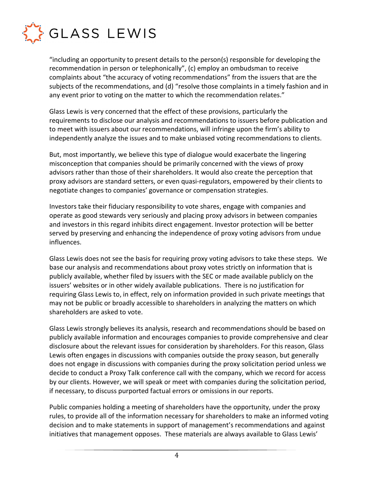

"including an opportunity to present details to the person(s) responsible for developing the recommendation in person or telephonically", (c) employ an ombudsman to receive complaints about "the accuracy of voting recommendations" from the issuers that are the subjects of the recommendations, and (d) "resolve those complaints in a timely fashion and in any event prior to voting on the matter to which the recommendation relates."

Glass Lewis is very concerned that the effect of these provisions, particularly the requirements to disclose our analysis and recommendations to issuers before publication and to meet with issuers about our recommendations, will infringe upon the firm's ability to independently analyze the issues and to make unbiased voting recommendations to clients.

But, most importantly, we believe this type of dialogue would exacerbate the lingering misconception that companies should be primarily concerned with the views of proxy advisors rather than those of their shareholders. It would also create the perception that proxy advisors are standard setters, or even quasi-regulators, empowered by their clients to negotiate changes to companies' governance or compensation strategies.

Investors take their fiduciary responsibility to vote shares, engage with companies and operate as good stewards very seriously and placing proxy advisors in between companies and investors in this regard inhibits direct engagement. Investor protection will be better served by preserving and enhancing the independence of proxy voting advisors from undue influences.

Glass Lewis does not see the basis for requiring proxy voting advisors to take these steps. We base our analysis and recommendations about proxy votes strictly on information that is publicly available, whether filed by issuers with the SEC or made available publicly on the issuers' websites or in other widely available publications. There is no justification for requiring Glass Lewis to, in effect, rely on information provided in such private meetings that may not be public or broadly accessible to shareholders in analyzing the matters on which shareholders are asked to vote.

Glass Lewis strongly believes its analysis, research and recommendations should be based on publicly available information and encourages companies to provide comprehensive and clear disclosure about the relevant issues for consideration by shareholders. For this reason, Glass Lewis often engages in discussions with companies outside the proxy season, but generally does not engage in discussions with companies during the proxy solicitation period unless we decide to conduct a Proxy Talk conference call with the company, which we record for access by our clients. However, we will speak or meet with companies during the solicitation period, if necessary, to discuss purported factual errors or omissions in our reports.

Public companies holding a meeting of shareholders have the opportunity, under the proxy rules, to provide all of the information necessary for shareholders to make an informed voting decision and to make statements in support of management's recommendations and against initiatives that management opposes. These materials are always available to Glass Lewis'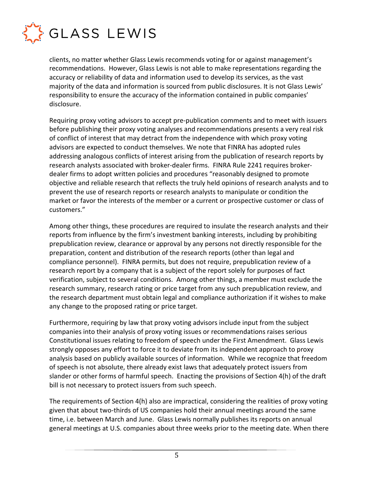

clients, no matter whether Glass Lewis recommends voting for or against management's recommendations. However, Glass Lewis is not able to make representations regarding the accuracy or reliability of data and information used to develop its services, as the vast majority of the data and information is sourced from public disclosures. It is not Glass Lewis' responsibility to ensure the accuracy of the information contained in public companies' disclosure.

Requiring proxy voting advisors to accept pre-publication comments and to meet with issuers before publishing their proxy voting analyses and recommendations presents a very real risk of conflict of interest that may detract from the independence with which proxy voting advisors are expected to conduct themselves. We note that FINRA has adopted rules addressing analogous conflicts of interest arising from the publication of research reports by research analysts associated with broker-dealer firms. FINRA Rule 2241 requires brokerdealer firms to adopt written policies and procedures "reasonably designed to promote objective and reliable research that reflects the truly held opinions of research analysts and to prevent the use of research reports or research analysts to manipulate or condition the market or favor the interests of the member or a current or prospective customer or class of customers."

Among other things, these procedures are required to insulate the research analysts and their reports from influence by the firm's investment banking interests, including by prohibiting prepublication review, clearance or approval by any persons not directly responsible for the preparation, content and distribution of the research reports (other than legal and compliance personnel). FINRA permits, but does not require, prepublication review of a research report by a company that is a subject of the report solely for purposes of fact verification, subject to several conditions. Among other things, a member must exclude the research summary, research rating or price target from any such prepublication review, and the research department must obtain legal and compliance authorization if it wishes to make any change to the proposed rating or price target.

Furthermore, requiring by law that proxy voting advisors include input from the subject companies into their analysis of proxy voting issues or recommendations raises serious Constitutional issues relating to freedom of speech under the First Amendment. Glass Lewis strongly opposes any effort to force it to deviate from its independent approach to proxy analysis based on publicly available sources of information. While we recognize that freedom of speech is not absolute, there already exist laws that adequately protect issuers from slander or other forms of harmful speech. Enacting the provisions of Section 4(h) of the draft bill is not necessary to protect issuers from such speech.

The requirements of Section 4(h) also are impractical, considering the realities of proxy voting given that about two-thirds of US companies hold their annual meetings around the same time, i.e. between March and June. Glass Lewis normally publishes its reports on annual general meetings at U.S. companies about three weeks prior to the meeting date. When there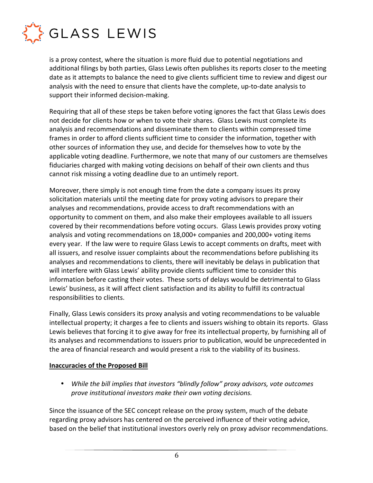

is a proxy contest, where the situation is more fluid due to potential negotiations and additional filings by both parties, Glass Lewis often publishes its reports closer to the meeting date as it attempts to balance the need to give clients sufficient time to review and digest our analysis with the need to ensure that clients have the complete, up-to-date analysis to support their informed decision-making.

Requiring that all of these steps be taken before voting ignores the fact that Glass Lewis does not decide for clients how or when to vote their shares. Glass Lewis must complete its analysis and recommendations and disseminate them to clients within compressed time frames in order to afford clients sufficient time to consider the information, together with other sources of information they use, and decide for themselves how to vote by the applicable voting deadline. Furthermore, we note that many of our customers are themselves fiduciaries charged with making voting decisions on behalf of their own clients and thus cannot risk missing a voting deadline due to an untimely report.

Moreover, there simply is not enough time from the date a company issues its proxy solicitation materials until the meeting date for proxy voting advisors to prepare their analyses and recommendations, provide access to draft recommendations with an opportunity to comment on them, and also make their employees available to all issuers covered by their recommendations before voting occurs. Glass Lewis provides proxy voting analysis and voting recommendations on 18,000+ companies and 200,000+ voting items every year. If the law were to require Glass Lewis to accept comments on drafts, meet with all issuers, and resolve issuer complaints about the recommendations before publishing its analyses and recommendations to clients, there will inevitably be delays in publication that will interfere with Glass Lewis' ability provide clients sufficient time to consider this information before casting their votes. These sorts of delays would be detrimental to Glass Lewis' business, as it will affect client satisfaction and its ability to fulfill its contractual responsibilities to clients.

Finally, Glass Lewis considers its proxy analysis and voting recommendations to be valuable intellectual property; it charges a fee to clients and issuers wishing to obtain its reports. Glass Lewis believes that forcing it to give away for free its intellectual property, by furnishing all of its analyses and recommendations to issuers prior to publication, would be unprecedented in the area of financial research and would present a risk to the viability of its business.

### **Inaccuracies of the Proposed Bill**

• *While the bill implies that investors "blindly follow" proxy advisors, vote outcomes prove institutional investors make their own voting decisions.* 

Since the issuance of the SEC concept release on the proxy system, much of the debate regarding proxy advisors has centered on the perceived influence of their voting advice, based on the belief that institutional investors overly rely on proxy advisor recommendations.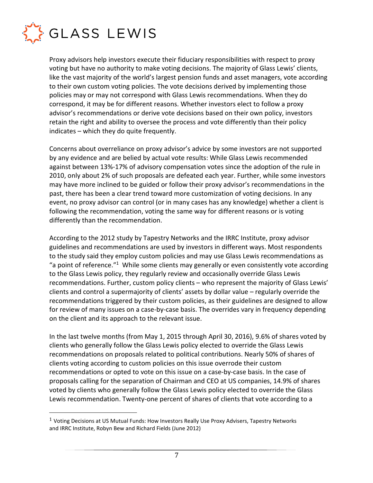

 $\overline{a}$ 

Proxy advisors help investors execute their fiduciary responsibilities with respect to proxy voting but have no authority to make voting decisions. The majority of Glass Lewis' clients, like the vast majority of the world's largest pension funds and asset managers, vote according to their own custom voting policies. The vote decisions derived by implementing those policies may or may not correspond with Glass Lewis recommendations. When they do correspond, it may be for different reasons. Whether investors elect to follow a proxy advisor's recommendations or derive vote decisions based on their own policy, investors retain the right and ability to oversee the process and vote differently than their policy indicates – which they do quite frequently.

Concerns about overreliance on proxy advisor's advice by some investors are not supported by any evidence and are belied by actual vote results: While Glass Lewis recommended against between 13%-17% of advisory compensation votes since the adoption of the rule in 2010, only about 2% of such proposals are defeated each year. Further, while some investors may have more inclined to be guided or follow their proxy advisor's recommendations in the past, there has been a clear trend toward more customization of voting decisions. In any event, no proxy advisor can control (or in many cases has any knowledge) whether a client is following the recommendation, voting the same way for different reasons or is voting differently than the recommendation.

According to the 2012 study by Tapestry Networks and the IRRC Institute, proxy advisor guidelines and recommendations are used by investors in different ways. Most respondents to the study said they employ custom policies and may use Glass Lewis recommendations as "a point of reference."<sup>1</sup> While some clients may generally or even consistently vote according to the Glass Lewis policy, they regularly review and occasionally override Glass Lewis recommendations. Further, custom policy clients – who represent the majority of Glass Lewis' clients and control a supermajority of clients' assets by dollar value – regularly override the recommendations triggered by their custom policies, as their guidelines are designed to allow for review of many issues on a case-by-case basis. The overrides vary in frequency depending on the client and its approach to the relevant issue.

In the last twelve months (from May 1, 2015 through April 30, 2016), 9.6% of shares voted by clients who generally follow the Glass Lewis policy elected to override the Glass Lewis recommendations on proposals related to political contributions. Nearly 50% of shares of clients voting according to custom policies on this issue overrode their custom recommendations or opted to vote on this issue on a case-by-case basis. In the case of proposals calling for the separation of Chairman and CEO at US companies, 14.9% of shares voted by clients who generally follow the Glass Lewis policy elected to override the Glass Lewis recommendation. Twenty-one percent of shares of clients that vote according to a

 $1$  Voting Decisions at US Mutual Funds: How Investors Really Use Proxy Advisers, Tapestry Networks and IRRC Institute, Robyn Bew and Richard Fields (June 2012)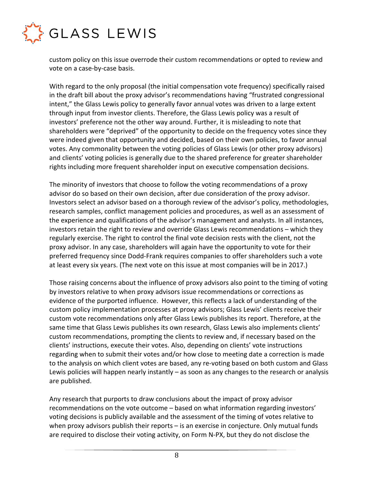

custom policy on this issue overrode their custom recommendations or opted to review and vote on a case-by-case basis.

With regard to the only proposal (the initial compensation vote frequency) specifically raised in the draft bill about the proxy advisor's recommendations having "frustrated congressional intent," the Glass Lewis policy to generally favor annual votes was driven to a large extent through input from investor clients. Therefore, the Glass Lewis policy was a result of investors' preference not the other way around. Further, it is misleading to note that shareholders were "deprived" of the opportunity to decide on the frequency votes since they were indeed given that opportunity and decided, based on their own policies, to favor annual votes. Any commonality between the voting policies of Glass Lewis (or other proxy advisors) and clients' voting policies is generally due to the shared preference for greater shareholder rights including more frequent shareholder input on executive compensation decisions.

The minority of investors that choose to follow the voting recommendations of a proxy advisor do so based on their own decision, after due consideration of the proxy advisor. Investors select an advisor based on a thorough review of the advisor's policy, methodologies, research samples, conflict management policies and procedures, as well as an assessment of the experience and qualifications of the advisor's management and analysts. In all instances, investors retain the right to review and override Glass Lewis recommendations – which they regularly exercise. The right to control the final vote decision rests with the client, not the proxy advisor. In any case, shareholders will again have the opportunity to vote for their preferred frequency since Dodd-Frank requires companies to offer shareholders such a vote at least every six years. (The next vote on this issue at most companies will be in 2017.)

Those raising concerns about the influence of proxy advisors also point to the timing of voting by investors relative to when proxy advisors issue recommendations or corrections as evidence of the purported influence. However, this reflects a lack of understanding of the custom policy implementation processes at proxy advisors; Glass Lewis' clients receive their custom vote recommendations only after Glass Lewis publishes its report. Therefore, at the same time that Glass Lewis publishes its own research, Glass Lewis also implements clients' custom recommendations, prompting the clients to review and, if necessary based on the clients' instructions, execute their votes. Also, depending on clients' vote instructions regarding when to submit their votes and/or how close to meeting date a correction is made to the analysis on which client votes are based, any re-voting based on both custom and Glass Lewis policies will happen nearly instantly – as soon as any changes to the research or analysis are published.

Any research that purports to draw conclusions about the impact of proxy advisor recommendations on the vote outcome – based on what information regarding investors' voting decisions is publicly available and the assessment of the timing of votes relative to when proxy advisors publish their reports – is an exercise in conjecture. Only mutual funds are required to disclose their voting activity, on Form N-PX, but they do not disclose the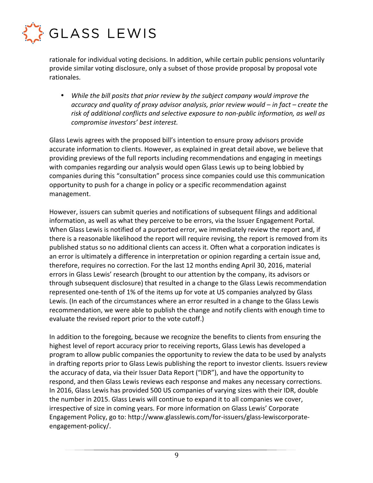

rationale for individual voting decisions. In addition, while certain public pensions voluntarily provide similar voting disclosure, only a subset of those provide proposal by proposal vote rationales.

• *While the bill posits that prior review by the subject company would improve the accuracy and quality of proxy advisor analysis, prior review would – in fact – create the risk of additional conflicts and selective exposure to non-public information, as well as compromise investors' best interest.* 

Glass Lewis agrees with the proposed bill's intention to ensure proxy advisors provide accurate information to clients. However, as explained in great detail above, we believe that providing previews of the full reports including recommendations and engaging in meetings with companies regarding our analysis would open Glass Lewis up to being lobbied by companies during this "consultation" process since companies could use this communication opportunity to push for a change in policy or a specific recommendation against management.

However, issuers can submit queries and notifications of subsequent filings and additional information, as well as what they perceive to be errors, via the Issuer Engagement Portal. When Glass Lewis is notified of a purported error, we immediately review the report and, if there is a reasonable likelihood the report will require revising, the report is removed from its published status so no additional clients can access it. Often what a corporation indicates is an error is ultimately a difference in interpretation or opinion regarding a certain issue and, therefore, requires no correction. For the last 12 months ending April 30, 2016, material errors in Glass Lewis' research (brought to our attention by the company, its advisors or through subsequent disclosure) that resulted in a change to the Glass Lewis recommendation represented one-tenth of 1% of the items up for vote at US companies analyzed by Glass Lewis. (In each of the circumstances where an error resulted in a change to the Glass Lewis recommendation, we were able to publish the change and notify clients with enough time to evaluate the revised report prior to the vote cutoff.)

In addition to the foregoing, because we recognize the benefits to clients from ensuring the highest level of report accuracy prior to receiving reports, Glass Lewis has developed a program to allow public companies the opportunity to review the data to be used by analysts in drafting reports prior to Glass Lewis publishing the report to investor clients. Issuers review the accuracy of data, via their Issuer Data Report ("IDR"), and have the opportunity to respond, and then Glass Lewis reviews each response and makes any necessary corrections. In 2016, Glass Lewis has provided 500 US companies of varying sizes with their IDR, double the number in 2015. Glass Lewis will continue to expand it to all companies we cover, irrespective of size in coming years. For more information on Glass Lewis' Corporate Engagement Policy, go to: http://www.glasslewis.com/for-issuers/glass-lewiscorporateengagement-policy/.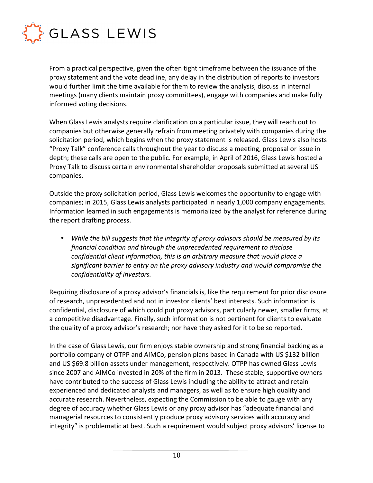

From a practical perspective, given the often tight timeframe between the issuance of the proxy statement and the vote deadline, any delay in the distribution of reports to investors would further limit the time available for them to review the analysis, discuss in internal meetings (many clients maintain proxy committees), engage with companies and make fully informed voting decisions.

When Glass Lewis analysts require clarification on a particular issue, they will reach out to companies but otherwise generally refrain from meeting privately with companies during the solicitation period, which begins when the proxy statement is released. Glass Lewis also hosts "Proxy Talk" conference calls throughout the year to discuss a meeting, proposal or issue in depth; these calls are open to the public. For example, in April of 2016, Glass Lewis hosted a Proxy Talk to discuss certain environmental shareholder proposals submitted at several US companies.

Outside the proxy solicitation period, Glass Lewis welcomes the opportunity to engage with companies; in 2015, Glass Lewis analysts participated in nearly 1,000 company engagements. Information learned in such engagements is memorialized by the analyst for reference during the report drafting process.

• *While the bill suggests that the integrity of proxy advisors should be measured by its financial condition and through the unprecedented requirement to disclose confidential client information, this is an arbitrary measure that would place a significant barrier to entry on the proxy advisory industry and would compromise the confidentiality of investors.* 

Requiring disclosure of a proxy advisor's financials is, like the requirement for prior disclosure of research, unprecedented and not in investor clients' best interests. Such information is confidential, disclosure of which could put proxy advisors, particularly newer, smaller firms, at a competitive disadvantage. Finally, such information is not pertinent for clients to evaluate the quality of a proxy advisor's research; nor have they asked for it to be so reported.

In the case of Glass Lewis, our firm enjoys stable ownership and strong financial backing as a portfolio company of OTPP and AIMCo, pension plans based in Canada with US \$132 billion and US \$69.8 billion assets under management, respectively. OTPP has owned Glass Lewis since 2007 and AIMCo invested in 20% of the firm in 2013. These stable, supportive owners have contributed to the success of Glass Lewis including the ability to attract and retain experienced and dedicated analysts and managers, as well as to ensure high quality and accurate research. Nevertheless, expecting the Commission to be able to gauge with any degree of accuracy whether Glass Lewis or any proxy advisor has "adequate financial and managerial resources to consistently produce proxy advisory services with accuracy and integrity" is problematic at best. Such a requirement would subject proxy advisors' license to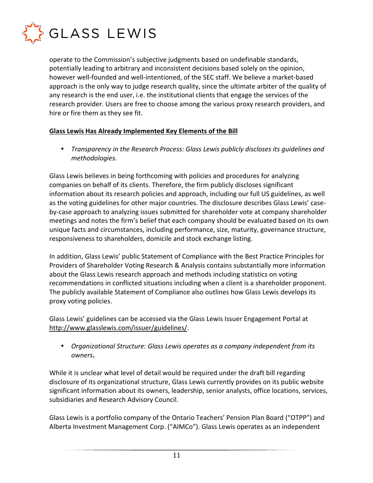

operate to the Commission's subjective judgments based on undefinable standards, potentially leading to arbitrary and inconsistent decisions based solely on the opinion, however well-founded and well-intentioned, of the SEC staff. We believe a market-based approach is the only way to judge research quality, since the ultimate arbiter of the quality of any research is the end user, i.e. the institutional clients that engage the services of the research provider. Users are free to choose among the various proxy research providers, and hire or fire them as they see fit.

### **Glass Lewis Has Already Implemented Key Elements of the Bill**

• *Transparency in the Research Process: Glass Lewis publicly discloses its guidelines and methodologies.* 

Glass Lewis believes in being forthcoming with policies and procedures for analyzing companies on behalf of its clients. Therefore, the firm publicly discloses significant information about its research policies and approach, including our full US guidelines, as well as the voting guidelines for other major countries. The disclosure describes Glass Lewis' caseby-case approach to analyzing issues submitted for shareholder vote at company shareholder meetings and notes the firm's belief that each company should be evaluated based on its own unique facts and circumstances, including performance, size, maturity, governance structure, responsiveness to shareholders, domicile and stock exchange listing.

In addition, Glass Lewis' public Statement of Compliance with the Best Practice Principles for Providers of Shareholder Voting Research & Analysis contains substantially more information about the Glass Lewis research approach and methods including statistics on voting recommendations in conflicted situations including when a client is a shareholder proponent. The publicly available Statement of Compliance also outlines how Glass Lewis develops its proxy voting policies.

Glass Lewis' guidelines can be accessed via the Glass Lewis Issuer Engagement Portal at http://www.glasslewis.com/issuer/guidelines/.

• *Organizational Structure: Glass Lewis operates as a company independent from its owners***.** 

While it is unclear what level of detail would be required under the draft bill regarding disclosure of its organizational structure, Glass Lewis currently provides on its public website significant information about its owners, leadership, senior analysts, office locations, services, subsidiaries and Research Advisory Council.

Glass Lewis is a portfolio company of the Ontario Teachers' Pension Plan Board ("OTPP") and Alberta Investment Management Corp. ("AIMCo"). Glass Lewis operates as an independent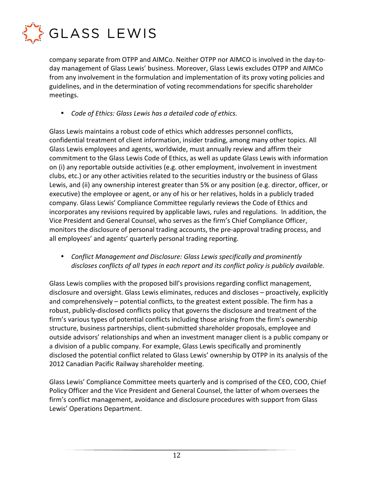

company separate from OTPP and AIMCo. Neither OTPP nor AIMCO is involved in the day-today management of Glass Lewis' business. Moreover, Glass Lewis excludes OTPP and AIMCo from any involvement in the formulation and implementation of its proxy voting policies and guidelines, and in the determination of voting recommendations for specific shareholder meetings.

• *Code of Ethics: Glass Lewis has a detailed code of ethics.* 

Glass Lewis maintains a robust code of ethics which addresses personnel conflicts, confidential treatment of client information, insider trading, among many other topics. All Glass Lewis employees and agents, worldwide, must annually review and affirm their commitment to the Glass Lewis Code of Ethics, as well as update Glass Lewis with information on (i) any reportable outside activities (e.g. other employment, involvement in investment clubs, etc.) or any other activities related to the securities industry or the business of Glass Lewis, and (ii) any ownership interest greater than 5% or any position (e.g. director, officer, or executive) the employee or agent, or any of his or her relatives, holds in a publicly traded company. Glass Lewis' Compliance Committee regularly reviews the Code of Ethics and incorporates any revisions required by applicable laws, rules and regulations. In addition, the Vice President and General Counsel, who serves as the firm's Chief Compliance Officer, monitors the disclosure of personal trading accounts, the pre-approval trading process, and all employees' and agents' quarterly personal trading reporting.

• *Conflict Management and Disclosure: Glass Lewis specifically and prominently discloses conflicts of all types in each report and its conflict policy is publicly available.* 

Glass Lewis complies with the proposed bill's provisions regarding conflict management, disclosure and oversight. Glass Lewis eliminates, reduces and discloses – proactively, explicitly and comprehensively – potential conflicts, to the greatest extent possible. The firm has a robust, publicly-disclosed conflicts policy that governs the disclosure and treatment of the firm's various types of potential conflicts including those arising from the firm's ownership structure, business partnerships, client-submitted shareholder proposals, employee and outside advisors' relationships and when an investment manager client is a public company or a division of a public company. For example, Glass Lewis specifically and prominently disclosed the potential conflict related to Glass Lewis' ownership by OTPP in its analysis of the 2012 Canadian Pacific Railway shareholder meeting.

Glass Lewis' Compliance Committee meets quarterly and is comprised of the CEO, COO, Chief Policy Officer and the Vice President and General Counsel, the latter of whom oversees the firm's conflict management, avoidance and disclosure procedures with support from Glass Lewis' Operations Department.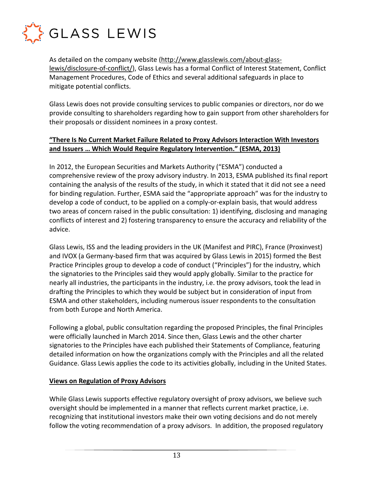

As detailed on the company website (http://www.glasslewis.com/about-glasslewis/disclosure-of-conflict/), Glass Lewis has a formal Conflict of Interest Statement, Conflict Management Procedures, Code of Ethics and several additional safeguards in place to mitigate potential conflicts.

Glass Lewis does not provide consulting services to public companies or directors, nor do we provide consulting to shareholders regarding how to gain support from other shareholders for their proposals or dissident nominees in a proxy contest.

# **"There Is No Current Market Failure Related to Proxy Advisors Interaction With Investors and Issuers … Which Would Require Regulatory Intervention." (ESMA, 2013)**

In 2012, the European Securities and Markets Authority ("ESMA") conducted a comprehensive review of the proxy advisory industry. In 2013, ESMA published its final report containing the analysis of the results of the study, in which it stated that it did not see a need for binding regulation. Further, ESMA said the "appropriate approach" was for the industry to develop a code of conduct, to be applied on a comply-or-explain basis, that would address two areas of concern raised in the public consultation: 1) identifying, disclosing and managing conflicts of interest and 2) fostering transparency to ensure the accuracy and reliability of the advice.

Glass Lewis, ISS and the leading providers in the UK (Manifest and PIRC), France (Proxinvest) and IVOX (a Germany-based firm that was acquired by Glass Lewis in 2015) formed the Best Practice Principles group to develop a code of conduct ("Principles") for the industry, which the signatories to the Principles said they would apply globally. Similar to the practice for nearly all industries, the participants in the industry, i.e. the proxy advisors, took the lead in drafting the Principles to which they would be subject but in consideration of input from ESMA and other stakeholders, including numerous issuer respondents to the consultation from both Europe and North America.

Following a global, public consultation regarding the proposed Principles, the final Principles were officially launched in March 2014. Since then, Glass Lewis and the other charter signatories to the Principles have each published their Statements of Compliance, featuring detailed information on how the organizations comply with the Principles and all the related Guidance. Glass Lewis applies the code to its activities globally, including in the United States.

## **Views on Regulation of Proxy Advisors**

While Glass Lewis supports effective regulatory oversight of proxy advisors, we believe such oversight should be implemented in a manner that reflects current market practice, i.e. recognizing that institutional investors make their own voting decisions and do not merely follow the voting recommendation of a proxy advisors. In addition, the proposed regulatory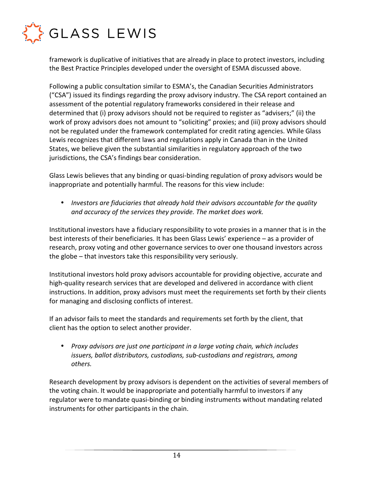

framework is duplicative of initiatives that are already in place to protect investors, including the Best Practice Principles developed under the oversight of ESMA discussed above.

Following a public consultation similar to ESMA's, the Canadian Securities Administrators ("CSA") issued its findings regarding the proxy advisory industry. The CSA report contained an assessment of the potential regulatory frameworks considered in their release and determined that (i) proxy advisors should not be required to register as "advisers;" (ii) the work of proxy advisors does not amount to "soliciting" proxies; and (iii) proxy advisors should not be regulated under the framework contemplated for credit rating agencies. While Glass Lewis recognizes that different laws and regulations apply in Canada than in the United States, we believe given the substantial similarities in regulatory approach of the two jurisdictions, the CSA's findings bear consideration.

Glass Lewis believes that any binding or quasi-binding regulation of proxy advisors would be inappropriate and potentially harmful. The reasons for this view include:

• *Investors are fiduciaries that already hold their advisors accountable for the quality and accuracy of the services they provide. The market does work.* 

Institutional investors have a fiduciary responsibility to vote proxies in a manner that is in the best interests of their beneficiaries. It has been Glass Lewis' experience – as a provider of research, proxy voting and other governance services to over one thousand investors across the globe – that investors take this responsibility very seriously.

Institutional investors hold proxy advisors accountable for providing objective, accurate and high-quality research services that are developed and delivered in accordance with client instructions. In addition, proxy advisors must meet the requirements set forth by their clients for managing and disclosing conflicts of interest.

If an advisor fails to meet the standards and requirements set forth by the client, that client has the option to select another provider.

• *Proxy advisors are just one participant in a large voting chain, which includes issuers, ballot distributors, custodians, sub-custodians and registrars, among others.* 

Research development by proxy advisors is dependent on the activities of several members of the voting chain. It would be inappropriate and potentially harmful to investors if any regulator were to mandate quasi-binding or binding instruments without mandating related instruments for other participants in the chain.